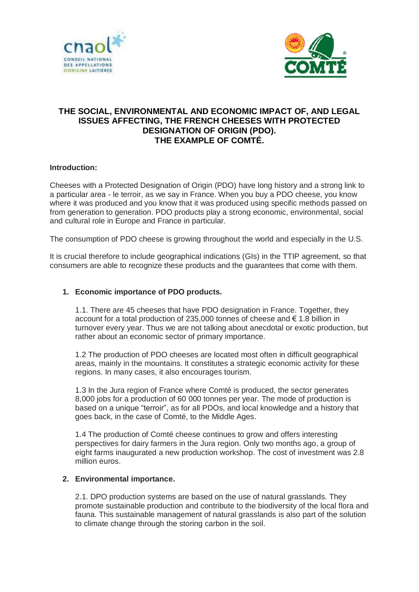



# **THE SOCIAL, ENVIRONMENTAL AND ECONOMIC IMPACT OF, AND LEGAL ISSUES AFFECTING, THE FRENCH CHEESES WITH PROTECTED DESIGNATION OF ORIGIN (PDO). THE EXAMPLE OF COMTÉ.**

## **Introduction:**

Cheeses with a Protected Designation of Origin (PDO) have long history and a strong link to a particular area - le terroir, as we say in France. When you buy a PDO cheese, you know where it was produced and you know that it was produced using specific methods passed on from generation to generation. PDO products play a strong economic, environmental, social and cultural role in Europe and France in particular.

The consumption of PDO cheese is growing throughout the world and especially in the U.S.

It is crucial therefore to include geographical indications (GIs) in the TTIP agreement, so that consumers are able to recognize these products and the guarantees that come with them.

### **1. Economic importance of PDO products.**

1.1. There are 45 cheeses that have PDO designation in France. Together, they account for a total production of 235,000 tonnes of cheese and € 1.8 billion in turnover every year. Thus we are not talking about anecdotal or exotic production, but rather about an economic sector of primary importance.

1.2 The production of PDO cheeses are located most often in difficult geographical areas, mainly in the mountains. It constitutes a strategic economic activity for these regions. In many cases, it also encourages tourism.

1.3 In the Jura region of France where Comté is produced, the sector generates 8,000 jobs for a production of 60 000 tonnes per year. The mode of production is based on a unique "terroir", as for all PDOs, and local knowledge and a history that goes back, in the case of Comté, to the Middle Ages.

1.4 The production of Comté cheese continues to grow and offers interesting perspectives for dairy farmers in the Jura region. Only two months ago, a group of eight farms inaugurated a new production workshop. The cost of investment was 2.8 million euros.

### **2. Environmental importance.**

2.1. DPO production systems are based on the use of natural grasslands. They promote sustainable production and contribute to the biodiversity of the local flora and fauna. This sustainable management of natural grasslands is also part of the solution to climate change through the storing carbon in the soil.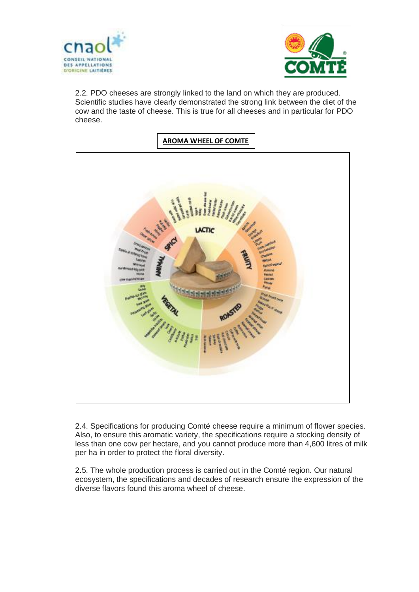



2.2. PDO cheeses are strongly linked to the land on which they are produced. Scientific studies have clearly demonstrated the strong link between the diet of the cow and the taste of cheese. This is true for all cheeses and in particular for PDO cheese.



2.4. Specifications for producing Comté cheese require a minimum of flower species. Also, to ensure this aromatic variety, the specifications require a stocking density of less than one cow per hectare, and you cannot produce more than 4,600 litres of milk per ha in order to protect the floral diversity.

2.5. The whole production process is carried out in the Comté region. Our natural ecosystem, the specifications and decades of research ensure the expression of the diverse flavors found this aroma wheel of cheese.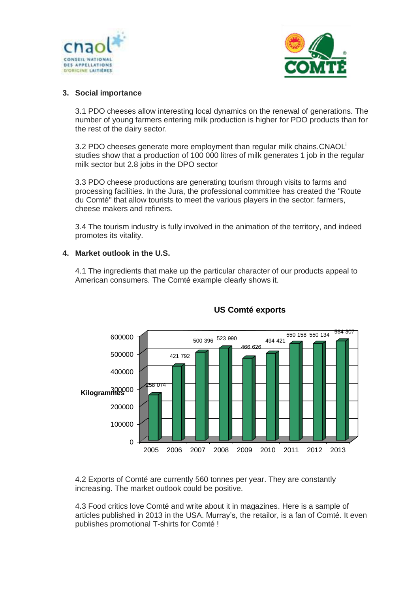



## **3. Social importance**

3.1 PDO cheeses allow interesting local dynamics on the renewal of generations. The number of young farmers entering milk production is higher for PDO products than for the rest of the dairy sector.

3.2 PDO cheeses generate more employment than regular milk chains.CNAOL<sup>i</sup> studies show that a production of 100 000 litres of milk generates 1 job in the regular milk sector but 2.8 jobs in the DPO sector

3.3 PDO cheese productions are generating tourism through visits to farms and processing facilities. In the Jura, the professional committee has created the "Route du Comté" that allow tourists to meet the various players in the sector: farmers, cheese makers and refiners.

3.4 The tourism industry is fully involved in the animation of the territory, and indeed promotes its vitality.

## **4. Market outlook in the U.S.**

4.1 The ingredients that make up the particular character of our products appeal to American consumers. The Comté example clearly shows it.



# **US Comté exports**

4.2 Exports of Comté are currently 560 tonnes per year. They are constantly increasing. The market outlook could be positive.

4.3 Food critics love Comté and write about it in magazines. Here is a sample of articles published in 2013 in the USA. Murray's, the retailor, is a fan of Comté. It even publishes promotional T-shirts for Comté !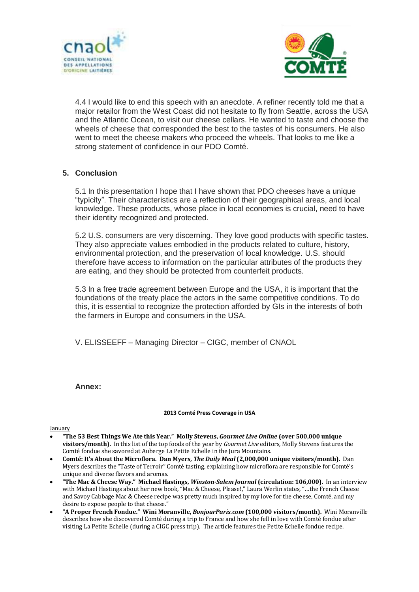



4.4 I would like to end this speech with an anecdote. A refiner recently told me that a major retailor from the West Coast did not hesitate to fly from Seattle, across the USA and the Atlantic Ocean, to visit our cheese cellars. He wanted to taste and choose the wheels of cheese that corresponded the best to the tastes of his consumers. He also went to meet the cheese makers who proceed the wheels. That looks to me like a strong statement of confidence in our PDO Comté.

## **5. Conclusion**

5.1 In this presentation I hope that I have shown that PDO cheeses have a unique "typicity". Their characteristics are a reflection of their geographical areas, and local knowledge. These products, whose place in local economies is crucial, need to have their identity recognized and protected.

5.2 U.S. consumers are very discerning. They love good products with specific tastes. They also appreciate values embodied in the products related to culture, history, environmental protection, and the preservation of local knowledge. U.S. should therefore have access to information on the particular attributes of the products they are eating, and they should be protected from counterfeit products.

5.3 In a free trade agreement between Europe and the USA, it is important that the foundations of the treaty place the actors in the same competitive conditions. To do this, it is essential to recognize the protection afforded by GIs in the interests of both the farmers in Europe and consumers in the USA.

V. ELISSEEFF – Managing Director – CIGC, member of CNAOL

### **Annex:**

### **2013 Comté Press Coverage in USA**

### January

- **"The 53 Best Things We Ate this Year." Molly Stevens,** *Gourmet Live Online* **(over 500,000 unique visitors/month).** In this list of the top foods of the year by *Gourmet Live* editors, Molly Stevens features the Comté fondue she savored at Auberge La Petite Echelle in the Jura Mountains.
- **Comté: It's About the Microflora. Dan Myers,** *The Daily Meal* **(2,000,000 unique visitors/month).** Dan Myers describes the "Taste of Terroir" Comté tasting, explaining how microflora are responsible for Comté's unique and diverse flavors and aromas.
- **"The Mac & Cheese Way." Michael Hastings,** *Winston-Salem Journal* **(circulation: 106,000).** In an interview with Michael Hastings about her new book, "Mac & Cheese, Please!," Laura Werlin states, "…the French Cheese and Savoy Cabbage Mac & Cheese recipe was pretty much inspired by my love for the cheese, Comté, and my desire to expose people to that cheese."
- **"A Proper French Fondue." Wini Moranville,** *BonjourParis.com* **(100,000 visitors/month).** Wini Moranville describes how she discovered Comté during a trip to France and how she fell in love with Comté fondue after visiting La Petite Echelle (during a CIGC press trip). The article features the Petite Echelle fondue recipe.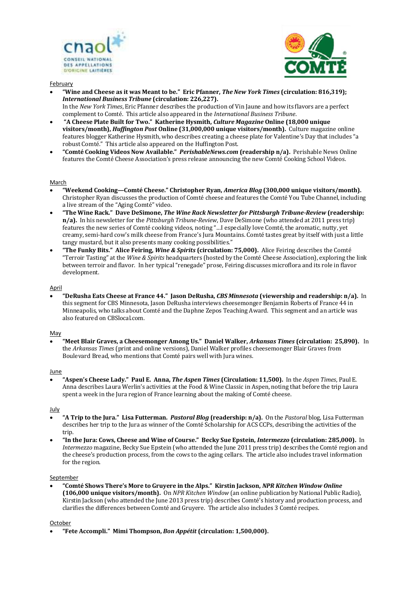



#### **February**

- **"Wine and Cheese as it was Meant to be." Eric Pfanner,** *The New York Times* **(circulation: 816,319);**  *International Business Tribune* **(circulation: 226,227).** In the *New York Times*, Eric Pfanner describes the production of Vin Jaune and how its flavors are a perfect complement to Comté. This article also appeared in the *International Business Tribune*.
- **"A Cheese Plate Built for Two." Katherine Hysmith,** *Culture Magazine* **Online (18,000 unique visitors/month),** *Huffington Post* **Online (31,000,000 unique visitors/month).** Culture magazine online features blogger Katherine Hysmith, who describes creating a cheese plate for Valentine's Day that includes "a robust Comté." This article also appeared on the Huffington Post.
- **"Comté Cooking Videos Now Available."** *PerishableNews.com* **(readership n/a).** Perishable News Online features the Comté Cheese Association's press release announcing the new Comté Cooking School Videos.

#### March

- **"Weekend Cooking—Comté Cheese." Christopher Ryan,** *America Blog* **(300,000 unique visitors/month).**  Christopher Ryan discusses the production of Comté cheese and features the Comté You Tube Channel, including a live stream of the "Aging Comté" video.
- **"The Wine Rack." Dave DeSimone,** *The Wine Rack Newsletter for Pittsburgh Tribune-Review* **(readership: n/a).** In his newsletter for the *Pittsburgh Tribune-Review*, Dave DeSimone (who attended at 2011 press trip) features the new series of Comté cooking videos, noting "…I especially love Comté, the aromatic, nutty, yet creamy, semi-hard cow's milk cheese from France's Jura Mountains. Comté tastes great by itself with just a little tangy mustard, but it also presents many cooking possibilities."
- **"The Funky Bits." Alice Feiring,** *Wine & Spirits* **(circulation: 75,000).** Alice Feiring describes the Comté "Terroir Tasting" at the *Wine & Spirits* headquarters (hosted by the Comté Cheese Association), exploring the link between terroir and flavor. In her typical "renegade" prose, Feiring discusses microflora and its role in flavor development.

#### April

 **"DeRusha Eats Cheese at France 44." Jason DeRusha,** *CBS Minnesota* **(viewership and readership: n/a).** In this segment for CBS Minnesota, Jason DeRusha interviews cheesemonger Benjamin Roberts of France 44 in Minneapolis, who talks about Comté and the Daphne Zepos Teaching Award. This segment and an article was also featured on CBSlocal.com.

#### May

 **"Meet Blair Graves, a Cheesemonger Among Us." Daniel Walker,** *Arkansas Times* **(circulation: 25,890).** In the *Arkansas Times* (print and online versions), Daniel Walker profiles cheesemonger Blair Graves from Boulevard Bread, who mentions that Comté pairs well with Jura wines.

#### June

 **"Aspen's Cheese Lady." Paul E. Anna,** *The Aspen Times* **(Circulation: 11,500).** In the *Aspen Times*, Paul E. Anna describes Laura Werlin's activities at the Food & Wine Classic in Aspen, noting that before the trip Laura spent a week in the Jura region of France learning about the making of Comté cheese.

#### July

- **"A Trip to the Jura." Lisa Futterman.** *Pastoral Blog* **(readership: n/a).** On the *Pastoral* blog, Lisa Futterman describes her trip to the Jura as winner of the Comté Scholarship for ACS CCPs, describing the activities of the trip.
- **"In the Jura: Cows, Cheese and Wine of Course." Becky Sue Epstein,** *Intermezzo* **(circulation: 285,000).** In *Intermezzo* magazine, Becky Sue Epstein (who attended the June 2011 press trip) describes the Comté region and the cheese's production process, from the cows to the aging cellars. The article also includes travel information for the region.

#### September

 **"Comté Shows There's More to Gruyere in the Alps." Kirstin Jackson,** *NPR Kitchen Window Online*  **(106,000 unique visitors/month).** On *NPR Kitchen Window* (an online publication by National Public Radio), Kirstin Jackson (who attended the June 2013 press trip) describes Comté's history and production process, and clarifies the differences between Comté and Gruyere. The article also includes 3 Comté recipes.

#### October

**"Fete Accompli." Mimi Thompson,** *Bon Appétit* **(circulation: 1,500,000).**